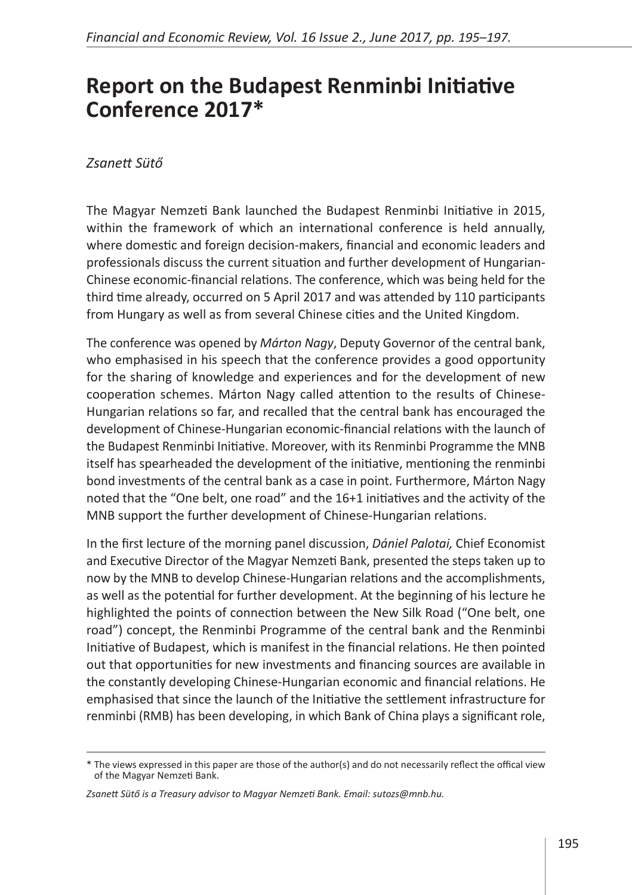## **Report on the Budapest Renminbi Initiative Conference 2017\***

## *Zsanett Sütő*

The Magyar Nemzeti Bank launched the Budapest Renminbi Initiative in 2015, within the framework of which an international conference is held annually, where domestic and foreign decision-makers, financial and economic leaders and professionals discuss the current situation and further development of Hungarian-Chinese economic-financial relations. The conference, which was being held for the third time already, occurred on 5 April 2017 and was attended by 110 participants from Hungary as well as from several Chinese cities and the United Kingdom.

The conference was opened by *Márton Nagy*, Deputy Governor of the central bank, who emphasised in his speech that the conference provides a good opportunity for the sharing of knowledge and experiences and for the development of new cooperation schemes. Márton Nagy called attention to the results of Chinese-Hungarian relations so far, and recalled that the central bank has encouraged the development of Chinese-Hungarian economic-financial relations with the launch of the Budapest Renminbi Initiative. Moreover, with its Renminbi Programme the MNB itself has spearheaded the development of the initiative, mentioning the renminbi bond investments of the central bank as a case in point. Furthermore, Márton Nagy noted that the "One belt, one road" and the 16+1 initiatives and the activity of the MNB support the further development of Chinese-Hungarian relations.

In the first lecture of the morning panel discussion, *Dániel Palotai,* Chief Economist and Executive Director of the Magyar Nemzeti Bank, presented the steps taken up to now by the MNB to develop Chinese-Hungarian relations and the accomplishments, as well as the potential for further development. At the beginning of his lecture he highlighted the points of connection between the New Silk Road ("One belt, one road") concept, the Renminbi Programme of the central bank and the Renminbi Initiative of Budapest, which is manifest in the financial relations. He then pointed out that opportunities for new investments and financing sources are available in the constantly developing Chinese-Hungarian economic and financial relations. He emphasised that since the launch of the Initiative the settlement infrastructure for renminbi (RMB) has been developing, in which Bank of China plays a significant role,

<sup>\*</sup> The views expressed in this paper are those of the author(s) and do not necessarily reflect the offical view of the Magyar Nemzeti Bank.

*Zsanett Sütő is a Treasury advisor to Magyar Nemzeti Bank. Email: sutozs@mnb.hu.*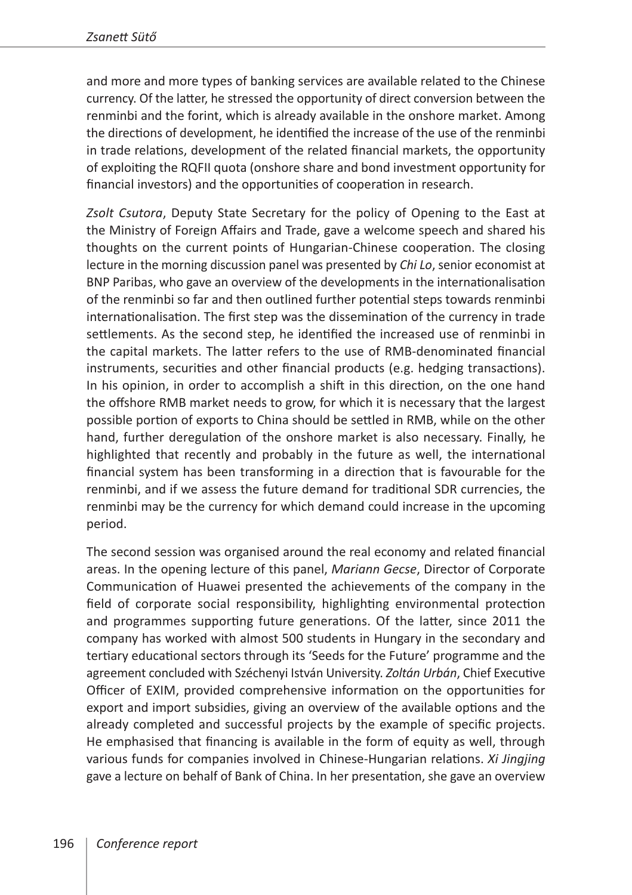and more and more types of banking services are available related to the Chinese currency. Of the latter, he stressed the opportunity of direct conversion between the renminbi and the forint, which is already available in the onshore market. Among the directions of development, he identified the increase of the use of the renminbi in trade relations, development of the related financial markets, the opportunity of exploiting the RQFII quota (onshore share and bond investment opportunity for financial investors) and the opportunities of cooperation in research.

*Zsolt Csutora*, Deputy State Secretary for the policy of Opening to the East at the Ministry of Foreign Affairs and Trade, gave a welcome speech and shared his thoughts on the current points of Hungarian-Chinese cooperation. The closing lecture in the morning discussion panel was presented by *Chi Lo*, senior economist at BNP Paribas, who gave an overview of the developments in the internationalisation of the renminbi so far and then outlined further potential steps towards renminbi internationalisation. The first step was the dissemination of the currency in trade settlements. As the second step, he identified the increased use of renminbi in the capital markets. The latter refers to the use of RMB-denominated financial instruments, securities and other financial products (e.g. hedging transactions). In his opinion, in order to accomplish a shift in this direction, on the one hand the offshore RMB market needs to grow, for which it is necessary that the largest possible portion of exports to China should be settled in RMB, while on the other hand, further deregulation of the onshore market is also necessary. Finally, he highlighted that recently and probably in the future as well, the international financial system has been transforming in a direction that is favourable for the renminbi, and if we assess the future demand for traditional SDR currencies, the renminbi may be the currency for which demand could increase in the upcoming period.

The second session was organised around the real economy and related financial areas. In the opening lecture of this panel, *Mariann Gecse*, Director of Corporate Communication of Huawei presented the achievements of the company in the field of corporate social responsibility, highlighting environmental protection and programmes supporting future generations. Of the latter, since 2011 the company has worked with almost 500 students in Hungary in the secondary and tertiary educational sectors through its 'Seeds for the Future' programme and the agreement concluded with Széchenyi István University. *Zoltán Urbán*, Chief Executive Officer of EXIM, provided comprehensive information on the opportunities for export and import subsidies, giving an overview of the available options and the already completed and successful projects by the example of specific projects. He emphasised that financing is available in the form of equity as well, through various funds for companies involved in Chinese-Hungarian relations. *Xi Jingjing* gave a lecture on behalf of Bank of China. In her presentation, she gave an overview